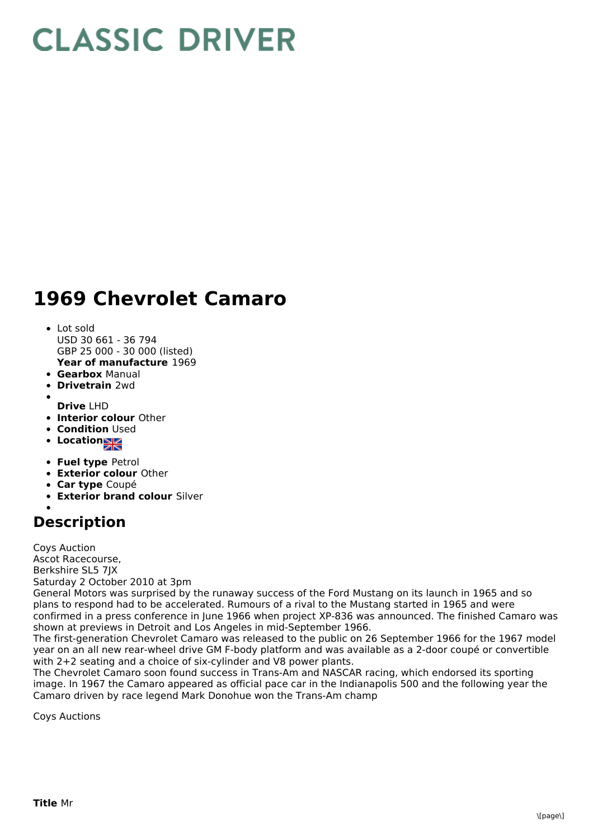## **CLASSIC DRIVER**

## **1969 Chevrolet Camaro**

- **Year of manufacture** 1969 Lot sold USD 30 661 - 36 794 GBP 25 000 - 30 000 (listed)
- **Gearbox** Manual
- **Drivetrain** 2wd
- **Drive** LHD
- **Interior colour** Other
- **Condition** Used
- **Location**
- **Fuel type** Petrol
- **Exterior colour** Other
- **Car type** Coupé
- **Exterior brand colour** Silver

## **Description**

Coys Auction Ascot Racecourse, Berkshire SL5 7JX Saturday 2 October 2010 at 3pm

General Motors was surprised by the runaway success of the Ford Mustang on its launch in 1965 and so plans to respond had to be accelerated. Rumours of a rival to the Mustang started in 1965 and were confirmed in a press conference in June 1966 when project XP-836 was announced. The finished Camaro was shown at previews in Detroit and Los Angeles in mid-September 1966.

The first-generation Chevrolet Camaro was released to the public on 26 September 1966 for the 1967 model year on an all new rear-wheel drive GM F-body platform and was available as a 2-door coupé or convertible with 2+2 seating and a choice of six-cylinder and V8 power plants.

The Chevrolet Camaro soon found success in Trans-Am and NASCAR racing, which endorsed its sporting image. In 1967 the Camaro appeared as official pace car in the Indianapolis 500 and the following year the Camaro driven by race legend Mark Donohue won the Trans-Am champ

Coys Auctions